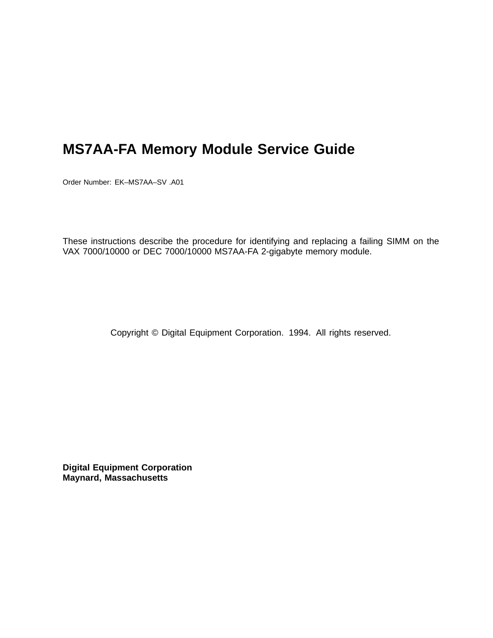# **MS7AA-FA Memory Module Service Guide**

Order Number: EK–MS7AA–SV .A01

These instructions describe the procedure for identifying and replacing a failing SIMM on the VAX 7000/10000 or DEC 7000/10000 MS7AA-FA 2-gigabyte memory module.

Copyright © Digital Equipment Corporation. 1994. All rights reserved.

**Digital Equipment Corporation Maynard, Massachusetts**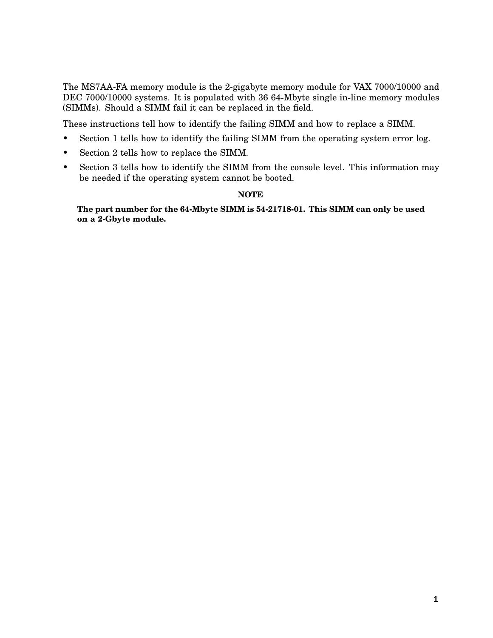The MS7AA-FA memory module is the 2-gigabyte memory module for VAX 7000/10000 and DEC 7000/10000 systems. It is populated with 36 64-Mbyte single in-line memory modules (SIMMs). Should a SIMM fail it can be replaced in the field.

These instructions tell how to identify the failing SIMM and how to replace a SIMM.

- Section 1 tells how to identify the failing SIMM from the operating system error log.
- Section 2 tells how to replace the SIMM.
- Section 3 tells how to identify the SIMM from the console level. This information may be needed if the operating system cannot be booted.

#### **NOTE**

**The part number for the 64-Mbyte SIMM is 54-21718-01. This SIMM can only be used on a 2-Gbyte module.**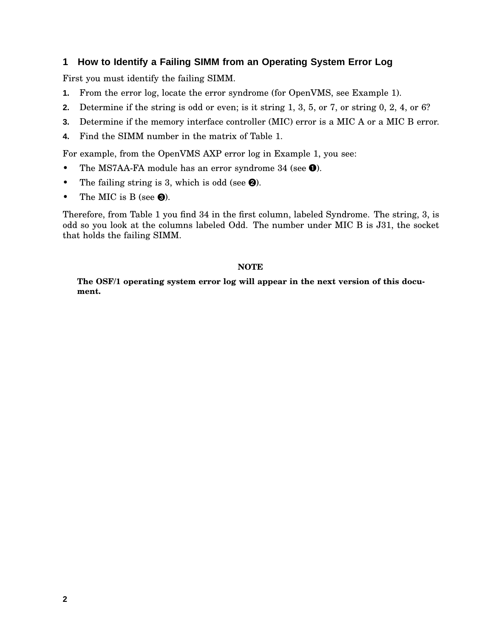## **1 How to Identify a Failing SIMM from an Operating System Error Log**

First you must identify the failing SIMM.

- **1.** From the error log, locate the error syndrome (for OpenVMS, see Example 1).
- **2.** Determine if the string is odd or even; is it string 1, 3, 5, or 7, or string 0, 2, 4, or 6?
- **3.** Determine if the memory interface controller (MIC) error is a MIC A or a MIC B error.
- **4.** Find the SIMM number in the matrix of Table 1.

For example, from the OpenVMS AXP error log in Example 1, you see:

- The MS7AA-FA module has an error syndrome 34 (see <sup>O</sup>).
- The failing string is 3, which is odd (see  $\Theta$ ).
- The MIC is B (see  $\Theta$ ).

Therefore, from Table 1 you find 34 in the first column, labeled Syndrome. The string, 3, is odd so you look at the columns labeled Odd. The number under MIC B is J31, the socket that holds the failing SIMM.

#### **NOTE**

**The OSF/1 operating system error log will appear in the next version of this document.**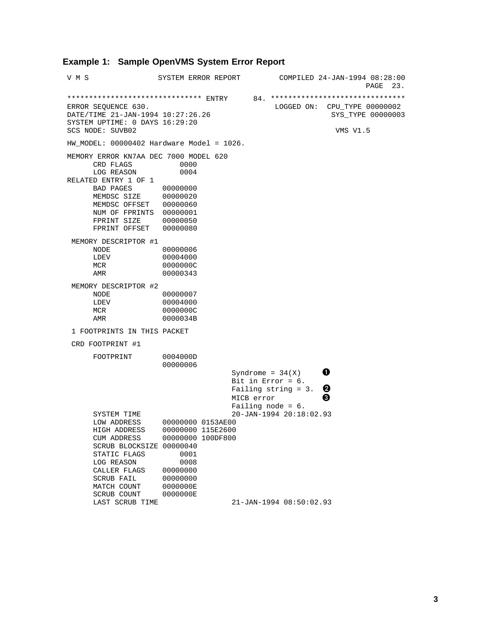#### **Example 1: Sample OpenVMS System Error Report**

V M S SYSTEM ERROR REPORT COMPILED 24-JAN-1994 08:28:00 PAGE 23. \*\*\*\*\*\*\*\*\*\*\*\*\*\*\*\*\*\*\*\*\*\*\*\*\*\*\*\*\*\*\* ENTRY 84. \*\*\*\*\*\*\*\*\*\*\*\*\*\*\*\*\*\*\*\*\*\*\*\*\*\*\*\*\*\*\*  $\begin{array}{rcl}\n\text{LOGGED ON:} & \text{CPU\_TYPE} & 00000002 \\
 & & \text{SYS\_TYPE} & 00000003\n\end{array}$  $DATA$  DATE/TIME  $21$ -JAN-1994  $10:27:26.26$ SYSTEM UPTIME: 0 DAYS 16:29:20 SCS NODE: SUVB02 VMS V1.5 HW\_MODEL: 00000402 Hardware Model = 1026. MEMORY ERROR KN7AA DEC 7000 MODEL 620 CRD FLAGS 0000<br>LOG REASON 0004 LOG REASON RELATED ENTRY 1 OF 1 BAD PAGES 00000000<br>MEMDSC SIZE 00000020 MEMDSC SIZE 00000020 MEMDSC OFFSET 00000060 NUM OF FPRINTS 00000001 FPRINT SIZE 00000050 FPRINT OFFSET 00000080 MEMORY DESCRIPTOR #1 NODE 00000006<br>
LDEV 00004000 00004000 MCR 0000000C AMR 00000343 MEMORY DESCRIPTOR #2 NODE 00000007<br>
LDEV 00004000 LDEV 00004000<br>MCR 0000000C 0000000C AMR 0000034B 1 FOOTPRINTS IN THIS PACKET CRD FOOTPRINT #1 FOOTPRINT 0004000D 00000006 Syndrome =  $34(X)$ Bit in Error = 6. Failing string = 3.  $\bullet$  $MICB$  error  $\qquad \qquad \bullet$ Failing node = 6. SYSTEM TIME 20-JAN-1994 20:18:02.93 LOW ADDRESS 00000000 0153AE00 HIGH ADDRESS 00000000 115E2600 CUM ADDRESS 00000000 100DF800 SCRUB BLOCKSIZE 00000040 STATIC FLAGS 0001 LOG REASON 0008 CALLER FLAGS 00000000<br>SCRUB FAIL 00000000 SCRUB FAIL 00000000<br>MATCH COUNT 0000000E MATCH COUNT SCRUB COUNT 0000000E<br>LAST SCRUB TIME LAST SCRUB TIME 21-JAN-1994 08:50:02.93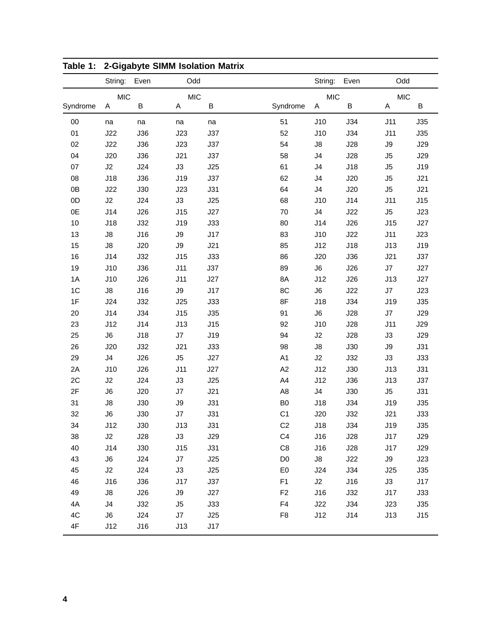|               | String:        | oiyanyit olinin isolatioli matrix<br>Even | Odd           |     |                | String:    | Even | Odd            |     |
|---------------|----------------|-------------------------------------------|---------------|-----|----------------|------------|------|----------------|-----|
|               | <b>MIC</b>     |                                           | <b>MIC</b>    |     |                | <b>MIC</b> |      | <b>MIC</b>     |     |
| Syndrome      | Α              | B                                         | Α             | B   | Syndrome       | A          | B    | Α              | B   |
| 00            | na             | na                                        | na            | na  | 51             | J10        | J34  | J11            | J35 |
| 01            | J22            | <b>J36</b>                                | J23           | J37 | 52             | J10        | J34  | J11            | J35 |
| 02            | J22            | J36                                       | J23           | J37 | 54             | J8         | J28  | $\mathsf{J}9$  | J29 |
| 04            | J20            | J36                                       | J21           | J37 | 58             | J4         | J28  | J <sub>5</sub> | J29 |
| 07            | J2             | J24                                       | J3            | J25 | 61             | J4         | J18  | J <sub>5</sub> | J19 |
| 08            | J18            | J36                                       | J19           | J37 | 62             | J4         | J20  | J5             | J21 |
| 0B            | J22            | J30                                       | J23           | J31 | 64             | J4         | J20  | J5             | J21 |
| 0D            | J2             | J24                                       | J3            | J25 | 68             | J10        | J14  | J11            | J15 |
| 0E            | J14            | J26                                       | J15           | J27 | 70             | J4         | J22  | J5             | J23 |
| 10            | J18            | J32                                       | J19           | J33 | 80             | J14        | J26  | J15            | J27 |
| 13            | J8             | J16                                       | J9            | J17 | 83             | J10        | J22  | J11            | J23 |
| 15            | $\mathsf{J}8$  | J20                                       | $\mathsf{J}9$ | J21 | 85             | J12        | J18  | J13            | J19 |
| 16            | J14            | J32                                       | J15           | J33 | 86             | J20        | J36  | J21            | J37 |
| 19            | J10            | J36                                       | J11           | J37 | 89             | J6         | J26  | J7             | J27 |
| 1A            | J10            | J26                                       | J11           | J27 | 8A             | J12        | J26  | J13            | J27 |
| 1C            | $\mathsf{J}8$  | J16                                       | J9            | J17 | 8C             | J6         | J22  | $\sf J7$       | J23 |
| 1F            | J24            | J32                                       | J25           | J33 | 8F             | J18        | J34  | J19            | J35 |
| 20            | J14            | J34                                       | J15           | J35 | 91             | J6         | J28  | J7             | J29 |
| 23            | J12            | J14                                       | J13           | J15 | 92             | J10        | J28  | J11            | J29 |
| 25            | J6             | J18                                       | J7            | J19 | 94             | J2         | J28  | J3             | J29 |
| 26            | J20            | J32                                       | J21           | J33 | 98             | J8         | J30  | $\mathsf{J}9$  | J31 |
| 29            | J <sub>4</sub> | J26                                       | J5            | J27 | A <sub>1</sub> | J2         | J32  | J3             | J33 |
| 2A            | J10            | J26                                       | J11           | J27 | A2             | J12        | J30  | J13            | J31 |
| 2C            | J2             | J24                                       | J3            | J25 | A4             | J12        | J36  | J13            | J37 |
| 2F            | J6             | J20                                       | J7            | J21 | A8             | J4         | J30  | J5             | J31 |
| 31            | $\mathsf{J}8$  | J30                                       | J9            | J31 | B <sub>0</sub> | J18        | J34  | J19            | J35 |
| 32            | J6             | J30                                       | J7            | J31 | C <sub>1</sub> | J20        | J32  | J21            | J33 |
| 34            | J12            | J30                                       | J13           | J31 | C <sub>2</sub> | J18        | J34  | J19            | J35 |
| 38            | J2             | J28                                       | J3            | J29 | C <sub>4</sub> | J16        | J28  | J17            | J29 |
| 40            | J14            | J30                                       | J15           | J31 | C8             | J16        | J28  | J17            | J29 |
| 43            | J6             | J24                                       | J7            | J25 | D <sub>0</sub> | J8         | J22  | J9             | J23 |
| 45            | J2             | J24                                       | J3            | J25 | E <sub>0</sub> | J24        | J34  | J25            | J35 |
| 46            | J16            | J36                                       | J17           | J37 | F1             | J2         | J16  | J3             | J17 |
| 49            | $\mathsf{J}8$  | J26                                       | $\mathsf{J}9$ | J27 | F <sub>2</sub> | J16        | J32  | J17            | J33 |
| 4A            | J4             | J32                                       | J5            | J33 | ${\sf F4}$     | J22        | J34  | J23            | J35 |
| 4C            | J6             | J24                                       | J7            | J25 | F <sub>8</sub> | J12        | J14  | J13            | J15 |
| $4\mathsf{F}$ | J12            | J16                                       | J13           | J17 |                |            |      |                |     |

|  | Table 1: 2-Gigabyte SIMM Isolation Matrix |  |  |  |
|--|-------------------------------------------|--|--|--|
|--|-------------------------------------------|--|--|--|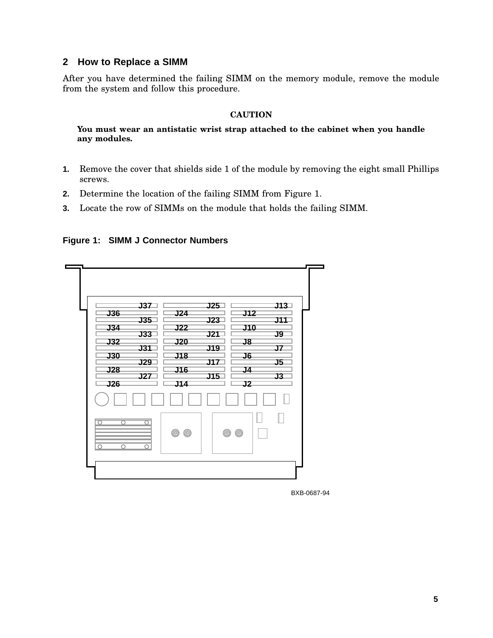## **2 How to Replace a SIMM**

After you have determined the failing SIMM on the memory module, remove the module from the system and follow this procedure.

#### **CAUTION**

**You must wear an antistatic wrist strap attached to the cabinet when you handle any modules.**

- **1.** Remove the cover that shields side 1 of the module by removing the eight small Phillips screws.
- **2.** Determine the location of the failing SIMM from Figure 1.
- **3.** Locate the row of SIMMs on the module that holds the failing SIMM.

**Figure 1: SIMM J Connector Numbers**

| J37<br><b>J36</b><br><b>J35</b><br><b>J34</b><br><b>J33</b><br>J32<br><b>J31</b><br><b>J30</b><br><b>J29</b><br>J28<br><b>J27</b><br>J26 | J13<br>J25<br>J12<br>J24<br><b>J11</b><br><b>J23</b><br><b>J10</b><br><u> J22</u><br><b>J21</b><br>J9<br>J20<br>$\overline{\mathsf{J8}}$<br><b>J19</b><br>J7<br>J6<br>J18<br>J17<br>J5<br><b>J16</b><br>J4<br><b>J15</b><br>J3<br>J2<br>J14 |
|------------------------------------------------------------------------------------------------------------------------------------------|---------------------------------------------------------------------------------------------------------------------------------------------------------------------------------------------------------------------------------------------|
| ਨ<br>O<br>∩<br>∩                                                                                                                         | <b>© ©</b><br>$^{\circledR}$<br><b>©</b>                                                                                                                                                                                                    |

BXB-0687-94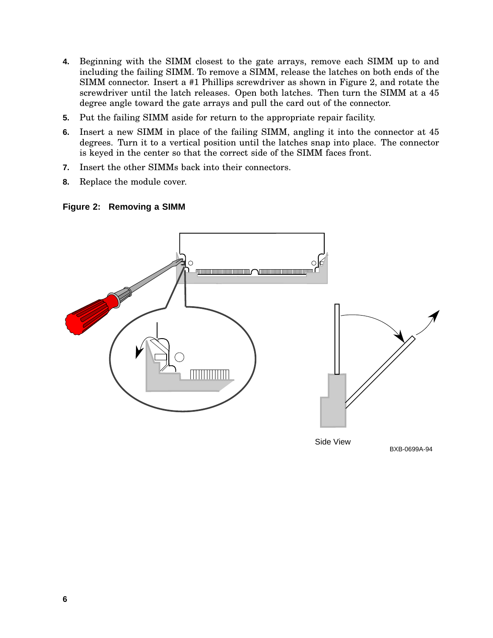- **4.** Beginning with the SIMM closest to the gate arrays, remove each SIMM up to and including the failing SIMM. To remove a SIMM, release the latches on both ends of the SIMM connector. Insert a #1 Phillips screwdriver as shown in Figure 2, and rotate the screwdriver until the latch releases. Open both latches. Then turn the SIMM at a 45 degree angle toward the gate arrays and pull the card out of the connector.
- **5.** Put the failing SIMM aside for return to the appropriate repair facility.
- **6.** Insert a new SIMM in place of the failing SIMM, angling it into the connector at 45 degrees. Turn it to a vertical position until the latches snap into place. The connector is keyed in the center so that the correct side of the SIMM faces front.
- **7.** Insert the other SIMMs back into their connectors.
- **8.** Replace the module cover.

#### **Figure 2: Removing a SIMM**



Side View

BXB-0699A-94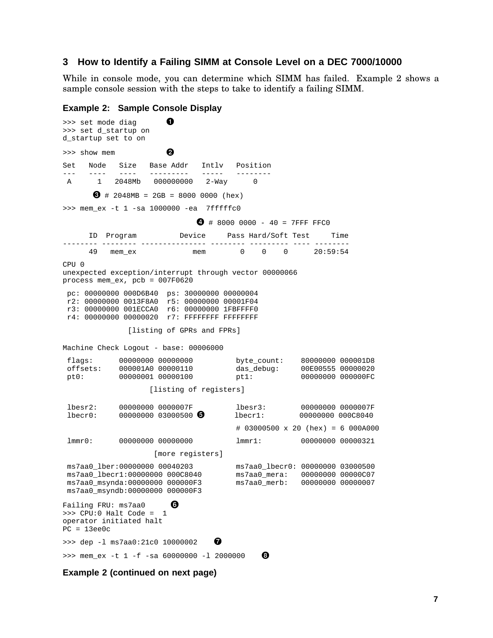#### **3 How to Identify a Failing SIMM at Console Level on a DEC 7000/10000**

While in console mode, you can determine which SIMM has failed. Example 2 shows a sample console session with the steps to take to identify a failing SIMM.

```
Example 2: Sample Console Display
>>> set mode diag
>>> set d_startup on
d_startup set to on
>>> show mem and a show members of the state of the state of the state of the state of the state of the state of the state of the state of the state of the state of the state of the state of the state of the state of the s
Set Node Size Base Addr Intlv Position
--- ---- ---- --------- ----- --------
A 1 2048Mb 000000000 2-Way 0
        \bullet # 2048MB = 2GB = 8000 0000 (hex)
>>> mem_ex -t 1 -sa 1000000 -ea 7fffffc0
                                   \bigodot # 8000 0000 - 40 = 7FFF FFC0
      ID Program Device Pass Hard/Soft Test Time
-------- -------- --------------- -------- --------- ---- --------
                         mem 0 0 0 20:59:54
CPU 0
unexpected exception/interrupt through vector 00000066
process mem_ex, pcb = 007F0620
 pc: 00000000 000D6B40 ps: 30000000 00000004
 r2: 00000000 0013F8A0 r5: 00000000 00001F04
 r3: 00000000 001ECCA0 r6: 00000000 1FBFFFF0
 r4: 00000000 00000020 r7: FFFFFFFF FFFFFFFF
                 [listing of GPRs and FPRs]
Machine Check Logout - base: 00006000
 flags: 00000000 00000000 byte_count: 80000000 000001D8<br>offsets: 000001A0 00000110 das debug: 00E00555 00000020
 offsets: 000001A0 00000110 das_debug: 00E00555 00000020<br>pt0: 000000001 00000100 pt0: 00000000 pt0: 00000000 0000000 pt0:
 pt0: 00000001 00000100
                       [listing of registers]
 lbest2: 00000000 0000007F 1best3: 0000000007F<br>lbert0: 00000000 03000500 0 1beta1: 00000000 00008040lber0: 00000000 03000500 lber1:# 03000500 x 20 (hex) = 6 000A000
 lmmr0: 00000000 00000000 lmmr1: 00000000 00000321
                       [more registers]
 ms7aa0_lber:00000000 00040203 ms7aa0_lbecr0: 00000000 03000500
                                             ms7aa0_mera: 00000000 00000C07<br>ms7aa0_merb: 00000000 00000007
 ms7aa0_msynda:00000000 000000F3 ms7aa0_merb: 00000000 00000007
 ms7aa0_msyndb:00000000 000000F3
Failing FRU: ms7aa0
>>> CPU:0 Halt Code = 1
operator initiated halt
PC = 13ee0c>>> dep -1 ms7aa0:21c0 10000002
>>> mem_ex -t 1 -f -sa 60000000 -1 2000000 \bullet
```
**Example 2 (continued on next page)**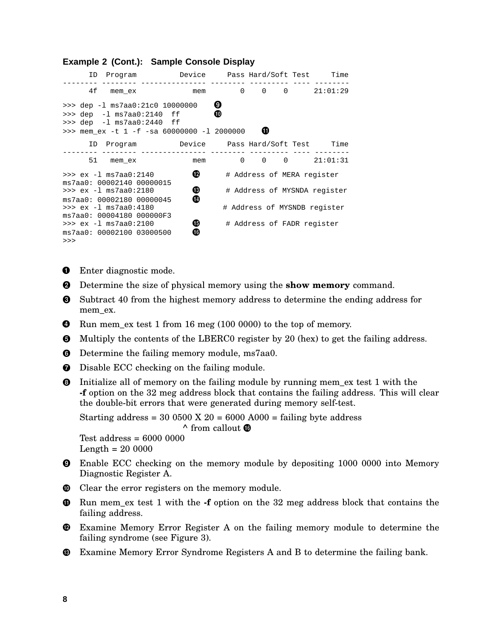#### ID Program Device Pass Hard/Soft Test Time -------- -------- --------------- -------- --------- ---- -------- 4f mem\_ex mem 0 0 0 21:01:29 >>> dep -1 ms7aa0:21c0 10000000 0  $\Rightarrow$  dep -1 ms7aa0:2140 ff  $\bullet$ >>> dep -l ms7aa0:2440 ff >>> mem\_ex -t 1 -f -sa 60000000 -1 2000000 0 ID Program Device Pass Hard/Soft Test Time -------- -------- --------------- -------- --------- ---- --------  $0 0 0 21:01:31$ >>> ex -1 ms7aa0:2140  $\bullet$  # Address of MERA register ms7aa0: 00002140 00000015 >>> ex -l ms7aa0:2180 # Address of MYSNDA register ms7aa0: 00002180 00000045 >>> ex -1 ms7aa0:4180 # Address of MYSNDB register ms7aa0: 00004180 000000F3<br>>>> ex -1 ms7aa0:2100  $\begin{array}{ll}\n\bullet & \text{# Address of FADR register} \\
\bullet & \end{array}$ ms7aa0: 00002100 03000500 >>>

- **O** Enter diagnostic mode.
- Determine the size of physical memory using the **show memory** command.
- **O** Subtract 40 from the highest memory address to determine the ending address for mem\_ex.
- **O** Run mem\_ex test 1 from 16 meg (100 0000) to the top of memory.
- Multiply the contents of the LBERC0 register by 20 (hex) to get the failing address.
- **O** Determine the failing memory module, ms7aa0.
- $\bullet$  Disable ECC checking on the failing module.
- Initialize all of memory on the failing module by running mem\_ex test 1 with the **-f** option on the 32 meg address block that contains the failing address. This will clear the double-bit errors that were generated during memory self-test.

```
Starting address = 30\,0500 \times 20 = 6000 \text{ A}000 = \text{failing byte address}^{\wedge} from callout ^{\wedge}Test address = 6000 0000
```
Length  $= 20,0000$ 

- Enable ECC checking on the memory module by depositing 1000 0000 into Memory Diagnostic Register A.
- $\mathbf \Phi$ Clear the error registers on the memory module.
- $\bullet$  Run mem\_ex test 1 with the **-f** option on the 32 meg address block that contains the failing address.
- Examine Memory Error Register A on the failing memory module to determine the failing syndrome (see Figure 3).
- Examine Memory Error Syndrome Registers A and B to determine the failing bank.

# **Example 2 (Cont.): Sample Console Display**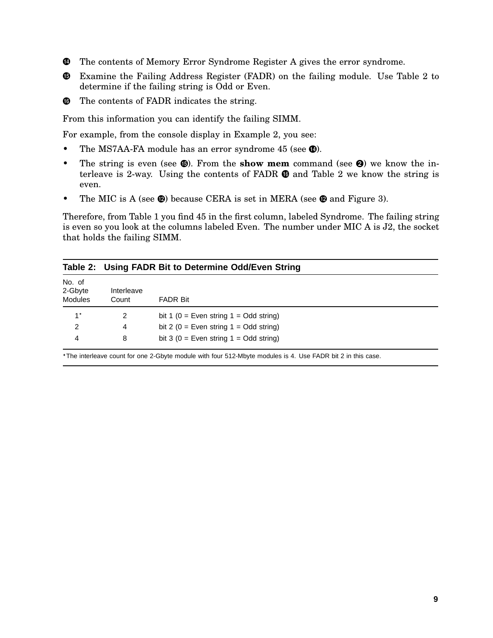- The contents of Memory Error Syndrome Register A gives the error syndrome.
- Examine the Failing Address Register (FADR) on the failing module. Use Table 2 to determine if the failing string is Odd or Even.
- $\bullet$  The contents of FADR indicates the string.

From this information you can identify the failing SIMM.

For example, from the console display in Example 2, you see:

- The MS7AA-FA module has an error syndrome 45 (see  $\bullet$ ).
- The string is even (see  $\mathbf{\Theta}$ ). From the **show mem** command (see  $\mathbf{\Theta}$ ) we know the interleave is 2-way. Using the contents of  $FADR \oplus$  and Table 2 we know the string is even.
- The MIC is A (see  $\circledR$ ) because CERA is set in MERA (see  $\circledR$  and Figure 3).

Therefore, from Table 1 you find 45 in the first column, labeled Syndrome. The failing string is even so you look at the columns labeled Even. The number under MIC A is J2, the socket that holds the failing SIMM.

|                                     | Table 2: Using FADR Bit to Determine Odd/Even String |                                          |  |  |
|-------------------------------------|------------------------------------------------------|------------------------------------------|--|--|
| No. of<br>2-Gbyte<br><b>Modules</b> | Interleave<br>Count                                  | <b>FADR Bit</b>                          |  |  |
| $1*$                                | 2                                                    | bit 1 (0 = Even string $1 = Odd$ string) |  |  |
| 2                                   | 4                                                    | bit 2 (0 = Even string $1 =$ Odd string) |  |  |
| 4                                   | 8                                                    | bit 3 (0 = Even string $1 =$ Odd string) |  |  |

The interleave count for one 2-Gbyte module with four 512-Mbyte modules is 4. Use FADR bit 2 in this case.